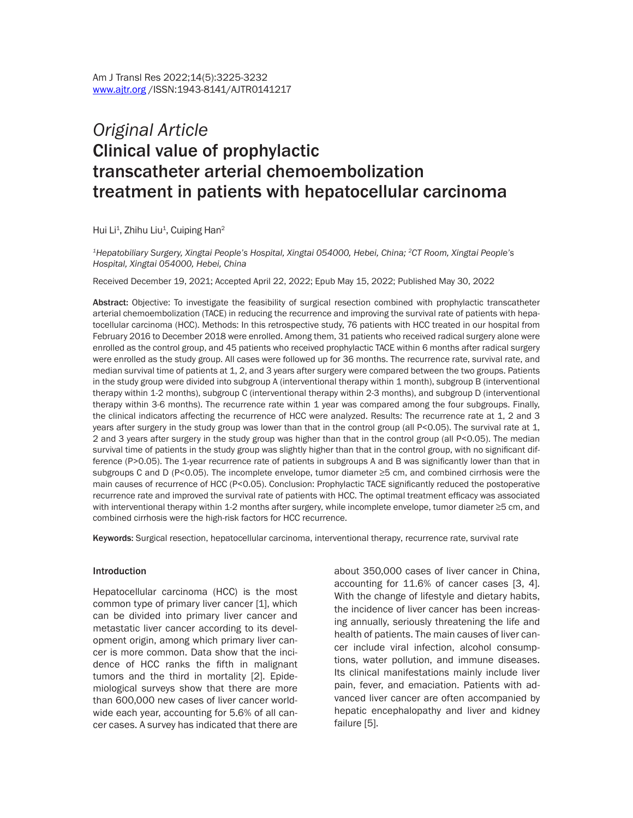# *Original Article* Clinical value of prophylactic transcatheter arterial chemoembolization treatment in patients with hepatocellular carcinoma

Hui Li<sup>1</sup>, Zhihu Liu<sup>1</sup>, Cuiping Han<sup>2</sup>

*1Hepatobiliary Surgery, Xingtai People's Hospital, Xingtai 054000, Hebei, China; 2CT Room, Xingtai People's Hospital, Xingtai 054000, Hebei, China*

Received December 19, 2021; Accepted April 22, 2022; Epub May 15, 2022; Published May 30, 2022

Abstract: Objective: To investigate the feasibility of surgical resection combined with prophylactic transcatheter arterial chemoembolization (TACE) in reducing the recurrence and improving the survival rate of patients with hepatocellular carcinoma (HCC). Methods: In this retrospective study, 76 patients with HCC treated in our hospital from February 2016 to December 2018 were enrolled. Among them, 31 patients who received radical surgery alone were enrolled as the control group, and 45 patients who received prophylactic TACE within 6 months after radical surgery were enrolled as the study group. All cases were followed up for 36 months. The recurrence rate, survival rate, and median survival time of patients at 1, 2, and 3 years after surgery were compared between the two groups. Patients in the study group were divided into subgroup A (interventional therapy within 1 month), subgroup B (interventional therapy within 1-2 months), subgroup C (interventional therapy within 2-3 months), and subgroup D (interventional therapy within 3-6 months). The recurrence rate within 1 year was compared among the four subgroups. Finally, the clinical indicators affecting the recurrence of HCC were analyzed. Results: The recurrence rate at 1, 2 and 3 years after surgery in the study group was lower than that in the control group (all P<0.05). The survival rate at 1, 2 and 3 years after surgery in the study group was higher than that in the control group (all P<0.05). The median survival time of patients in the study group was slightly higher than that in the control group, with no significant difference (P>0.05). The 1-year recurrence rate of patients in subgroups A and B was significantly lower than that in subgroups C and D (P<0.05). The incomplete envelope, tumor diameter ≥5 cm, and combined cirrhosis were the main causes of recurrence of HCC (P<0.05). Conclusion: Prophylactic TACE significantly reduced the postoperative recurrence rate and improved the survival rate of patients with HCC. The optimal treatment efficacy was associated with interventional therapy within 1-2 months after surgery, while incomplete envelope, tumor diameter ≥5 cm, and combined cirrhosis were the high-risk factors for HCC recurrence.

Keywords: Surgical resection, hepatocellular carcinoma, interventional therapy, recurrence rate, survival rate

#### Introduction

Hepatocellular carcinoma (HCC) is the most common type of primary liver cancer [1], which can be divided into primary liver cancer and metastatic liver cancer according to its development origin, among which primary liver cancer is more common. Data show that the incidence of HCC ranks the fifth in malignant tumors and the third in mortality [2]. Epidemiological surveys show that there are more than 600,000 new cases of liver cancer worldwide each year, accounting for 5.6% of all cancer cases. A survey has indicated that there are

about 350,000 cases of liver cancer in China, accounting for 11.6% of cancer cases [3, 4]. With the change of lifestyle and dietary habits, the incidence of liver cancer has been increasing annually, seriously threatening the life and health of patients. The main causes of liver cancer include viral infection, alcohol consumptions, water pollution, and immune diseases. Its clinical manifestations mainly include liver pain, fever, and emaciation. Patients with advanced liver cancer are often accompanied by hepatic encephalopathy and liver and kidney failure [5].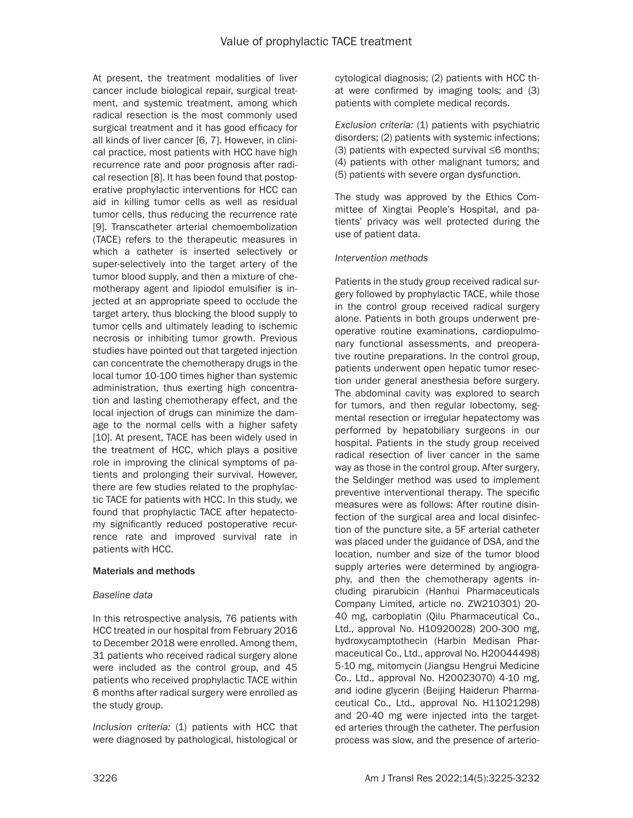At present, the treatment modalities of liver cancer include biological repair, surgical treatment, and systemic treatment, among which radical resection is the most commonly used surgical treatment and it has good efficacy for all kinds of liver cancer [6, 7]. However, in clinical practice, most patients with HCC have high recurrence rate and poor prognosis after radical resection [8]. It has been found that postoperative prophylactic interventions for HCC can aid in killing tumor cells as well as residual tumor cells, thus reducing the recurrence rate [9]. Transcatheter arterial chemoembolization (TACE) refers to the therapeutic measures in which a catheter is inserted selectively or super-selectively into the target artery of the tumor blood supply, and then a mixture of chemotherapy agent and lipiodol emulsifier is injected at an appropriate speed to occlude the target artery, thus blocking the blood supply to tumor cells and ultimately leading to ischemic necrosis or inhibiting tumor growth. Previous studies have pointed out that targeted injection can concentrate the chemotherapy drugs in the local tumor 10-100 times higher than systemic administration, thus exerting high concentration and lasting chemotherapy effect, and the local injection of drugs can minimize the damage to the normal cells with a higher safety [10]. At present, TACE has been widely used in the treatment of HCC, which plays a positive role in improving the clinical symptoms of patients and prolonging their survival. However, there are few studies related to the prophylactic TACE for patients with HCC. In this study, we found that prophylactic TACE after hepatectomy significantly reduced postoperative recurrence rate and improved survival rate in patients with HCC.

## Materials and methods

## *Baseline data*

In this retrospective analysis, 76 patients with HCC treated in our hospital from February 2016 to December 2018 were enrolled. Among them, 31 patients who received radical surgery alone were included as the control group, and 45 patients who received prophylactic TACE within 6 months after radical surgery were enrolled as the study group.

*Inclusion criteria:* (1) patients with HCC that were diagnosed by pathological, histological or cytological diagnosis; (2) patients with HCC that were confirmed by imaging tools; and (3) patients with complete medical records.

*Exclusion criteria:* (1) patients with psychiatric disorders; (2) patients with systemic infections; (3) patients with expected survival ≤6 months; (4) patients with other malignant tumors; and (5) patients with severe organ dysfunction.

The study was approved by the Ethics Committee of Xingtai People's Hospital, and patients' privacy was well protected during the use of patient data.

## *Intervention methods*

Patients in the study group received radical surgery followed by prophylactic TACE, while those in the control group received radical surgery alone. Patients in both groups underwent preoperative routine examinations, cardiopulmonary functional assessments, and preoperative routine preparations. In the control group, patients underwent open hepatic tumor resection under general anesthesia before surgery. The abdominal cavity was explored to search for tumors, and then regular lobectomy, segmental resection or irregular hepatectomy was performed by hepatobiliary surgeons in our hospital. Patients in the study group received radical resection of liver cancer in the same way as those in the control group. After surgery, the Seldinger method was used to implement preventive interventional therapy. The specific measures were as follows: After routine disinfection of the surgical area and local disinfection of the puncture site, a 5F arterial catheter was placed under the guidance of DSA, and the location, number and size of the tumor blood supply arteries were determined by angiography, and then the chemotherapy agents including pirarubicin (Hanhui Pharmaceuticals Company Limited, article no. ZW210301) 20- 40 mg, carboplatin (Qilu Pharmaceutical Co., Ltd., approval No. H10920028) 200-300 mg, hydroxycamptothecin (Harbin Medisan Pharmaceutical Co., Ltd., approval No. H20044498) 5-10 mg, mitomycin (Jiangsu Hengrui Medicine Co., Ltd., approval No. H20023070) 4-10 mg, and iodine glycerin (Beijing Haiderun Pharmaceutical Co., Ltd., approval No. H11021298) and 20-40 mg were injected into the targeted arteries through the catheter. The perfusion process was slow, and the presence of arterio-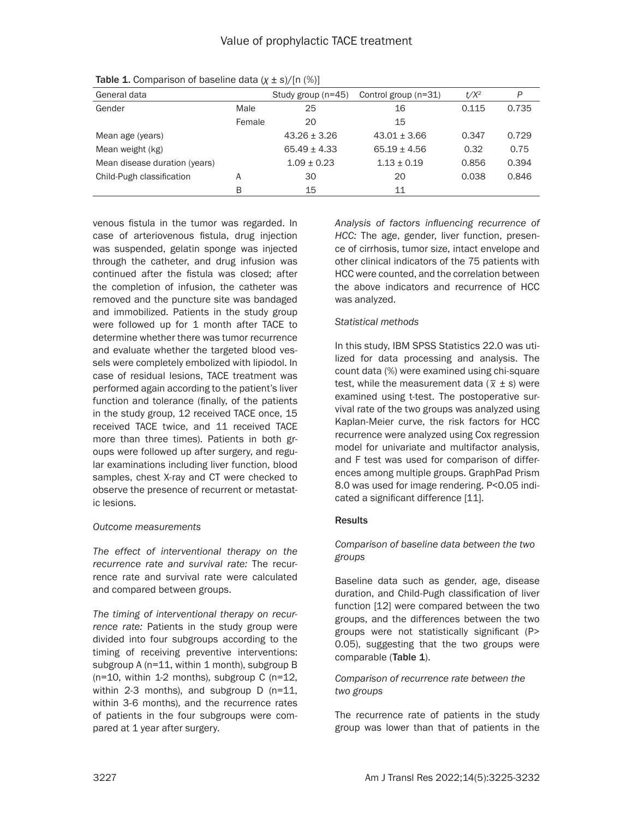| General data                   |        | Study group (n=45) | Control group (n=31) | $t/X^2$ | P     |
|--------------------------------|--------|--------------------|----------------------|---------|-------|
| Gender<br>Male                 |        | 25                 | 16                   | 0.115   | 0.735 |
|                                | Female | 20                 | 15                   |         |       |
| Mean age (years)               |        | $43.26 \pm 3.26$   | $43.01 + 3.66$       | 0.347   | 0.729 |
| Mean weight (kg)               |        | $65.49 + 4.33$     | $65.19 + 4.56$       | 0.32    | 0.75  |
| Mean disease duration (years)  |        | $1.09 \pm 0.23$    | $1.13 + 0.19$        | 0.856   | 0.394 |
| Child-Pugh classification<br>A |        | 30                 | 20                   | 0.038   | 0.846 |
|                                | B      | 15                 | 11                   |         |       |

Table 1. Comparison of baseline data (*χ* ± *s*)/[n (%)]

venous fistula in the tumor was regarded. In case of arteriovenous fistula, drug injection was suspended, gelatin sponge was injected through the catheter, and drug infusion was continued after the fistula was closed; after the completion of infusion, the catheter was removed and the puncture site was bandaged and immobilized. Patients in the study group were followed up for 1 month after TACE to determine whether there was tumor recurrence and evaluate whether the targeted blood vessels were completely embolized with lipiodol. In case of residual lesions, TACE treatment was performed again according to the patient's liver function and tolerance (finally, of the patients in the study group, 12 received TACE once, 15 received TACE twice, and 11 received TACE more than three times). Patients in both groups were followed up after surgery, and regular examinations including liver function, blood samples, chest X-ray and CT were checked to observe the presence of recurrent or metastatic lesions.

## *Outcome measurements*

*The effect of interventional therapy on the recurrence rate and survival rate:* The recurrence rate and survival rate were calculated and compared between groups.

*The timing of interventional therapy on recurrence rate:* Patients in the study group were divided into four subgroups according to the timing of receiving preventive interventions: subgroup A (n=11, within 1 month), subgroup B  $(n=10,$  within 1-2 months), subgroup C  $(n=12,$ within 2-3 months), and subgroup D (n=11, within 3-6 months), and the recurrence rates of patients in the four subgroups were compared at 1 year after surgery.

*Analysis of factors influencing recurrence of HCC:* The age, gender, liver function, presence of cirrhosis, tumor size, intact envelope and other clinical indicators of the 75 patients with HCC were counted, and the correlation between the above indicators and recurrence of HCC was analyzed.

## *Statistical methods*

In this study, IBM SPSS Statistics 22.0 was utilized for data processing and analysis. The count data (%) were examined using chi-square test, while the measurement data  $(\bar{x} \pm s)$  were examined using t-test. The postoperative survival rate of the two groups was analyzed using Kaplan-Meier curve, the risk factors for HCC recurrence were analyzed using Cox regression model for univariate and multifactor analysis, and F test was used for comparison of differences among multiple groups. GraphPad Prism 8.0 was used for image rendering. P<0.05 indicated a significant difference [11].

## **Results**

*Comparison of baseline data between the two groups*

Baseline data such as gender, age, disease duration, and Child-Pugh classification of liver function [12] were compared between the two groups, and the differences between the two groups were not statistically significant (P> 0.05), suggesting that the two groups were comparable (Table 1).

## *Comparison of recurrence rate between the two groups*

The recurrence rate of patients in the study group was lower than that of patients in the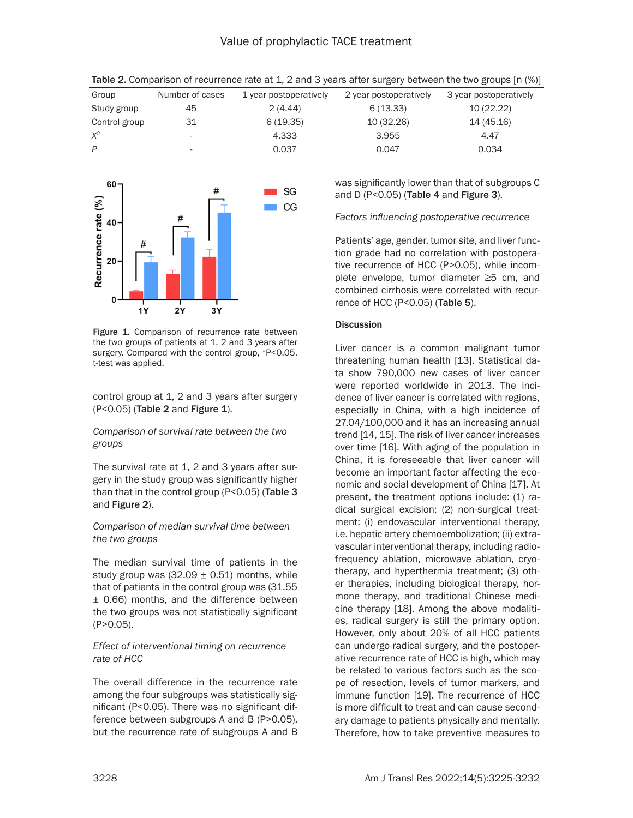| Group         | Number of cases          | 1 year postoperatively | 2 year postoperatively | 3 year postoperatively |
|---------------|--------------------------|------------------------|------------------------|------------------------|
| Study group   | 45                       | 2(4.44)                | 6(13.33)               | 10 (22.22)             |
| Control group | 31                       | 6(19.35)               | 10 (32.26)             | 14 (45.16)             |
| $X^2$         | $\overline{\phantom{a}}$ | 4.333                  | 3.955                  | 4.47                   |
| P             | $\overline{\phantom{a}}$ | 0.037                  | 0.047                  | 0.034                  |

Table 2. Comparison of recurrence rate at 1, 2 and 3 years after surgery between the two groups [n (%)]



Figure 1. Comparison of recurrence rate between the two groups of patients at 1, 2 and 3 years after surgery. Compared with the control group, #P<0.05. t-test was applied.

control group at 1, 2 and 3 years after surgery (P<0.05) (Table 2 and Figure 1).

*Comparison of survival rate between the two groups*

The survival rate at 1, 2 and 3 years after surgery in the study group was significantly higher than that in the control group (P<0.05) (Table 3 and Figure 2).

*Comparison of median survival time between the two groups* 

The median survival time of patients in the study group was  $(32.09 \pm 0.51)$  months, while that of patients in the control group was (31.55 ± 0.66) months, and the difference between the two groups was not statistically significant (P>0.05).

#### *Effect of interventional timing on recurrence rate of HCC*

The overall difference in the recurrence rate among the four subgroups was statistically significant (P<0.05). There was no significant difference between subgroups A and B (P>0.05), but the recurrence rate of subgroups A and B was significantly lower than that of subgroups C and D (P<0.05) (Table 4 and Figure 3).

*Factors influencing postoperative recurrence*

Patients' age, gender, tumor site, and liver function grade had no correlation with postoperative recurrence of HCC (P>0.05), while incomplete envelope, tumor diameter ≥5 cm, and combined cirrhosis were correlated with recurrence of HCC (P<0.05) (Table 5).

#### **Discussion**

Liver cancer is a common malignant tumor threatening human health [13]. Statistical data show 790,000 new cases of liver cancer were reported worldwide in 2013. The incidence of liver cancer is correlated with regions, especially in China, with a high incidence of 27.04/100,000 and it has an increasing annual trend [14, 15]. The risk of liver cancer increases over time [16]. With aging of the population in China, it is foreseeable that liver cancer will become an important factor affecting the economic and social development of China [17]. At present, the treatment options include: (1) radical surgical excision; (2) non-surgical treatment: (i) endovascular interventional therapy, i.e. hepatic artery chemoembolization; (ii) extravascular interventional therapy, including radiofrequency ablation, microwave ablation, cryotherapy, and hyperthermia treatment; (3) other therapies, including biological therapy, hormone therapy, and traditional Chinese medicine therapy [18]. Among the above modalities, radical surgery is still the primary option. However, only about 20% of all HCC patients can undergo radical surgery, and the postoperative recurrence rate of HCC is high, which may be related to various factors such as the scope of resection, levels of tumor markers, and immune function [19]. The recurrence of HCC is more difficult to treat and can cause secondary damage to patients physically and mentally. Therefore, how to take preventive measures to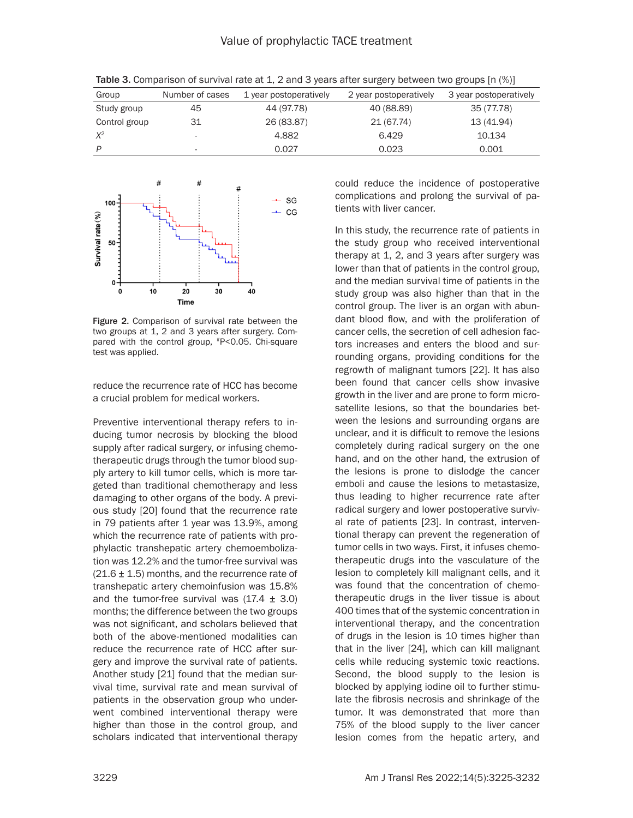| Group         | Number of cases          | 1 year postoperatively | 2 year postoperatively | 3 year postoperatively |
|---------------|--------------------------|------------------------|------------------------|------------------------|
| Study group   | 45                       | 44 (97.78)             | 40 (88.89)             | 35 (77.78)             |
| Control group | -31                      | 26 (83.87)             | 21 (67.74)             | 13 (41.94)             |
| $X^2$         | $\overline{\phantom{a}}$ | 4.882                  | 6.429                  | 10.134                 |
| P             | $\overline{\phantom{a}}$ | 0.027                  | 0.023                  | 0.001                  |

Table 3. Comparison of survival rate at 1, 2 and 3 years after surgery between two groups [n (%)]



Figure 2. Comparison of survival rate between the two groups at 1, 2 and 3 years after surgery. Compared with the control group, #P<0.05. Chi-square test was applied.

reduce the recurrence rate of HCC has become a crucial problem for medical workers.

Preventive interventional therapy refers to inducing tumor necrosis by blocking the blood supply after radical surgery, or infusing chemotherapeutic drugs through the tumor blood supply artery to kill tumor cells, which is more targeted than traditional chemotherapy and less damaging to other organs of the body. A previous study [20] found that the recurrence rate in 79 patients after 1 year was 13.9%, among which the recurrence rate of patients with prophylactic transhepatic artery chemoembolization was 12.2% and the tumor-free survival was  $(21.6 \pm 1.5)$  months, and the recurrence rate of transhepatic artery chemoinfusion was 15.8% and the tumor-free survival was  $(17.4 \pm 3.0)$ months; the difference between the two groups was not significant, and scholars believed that both of the above-mentioned modalities can reduce the recurrence rate of HCC after surgery and improve the survival rate of patients. Another study [21] found that the median survival time, survival rate and mean survival of patients in the observation group who underwent combined interventional therapy were higher than those in the control group, and scholars indicated that interventional therapy could reduce the incidence of postoperative complications and prolong the survival of patients with liver cancer.

In this study, the recurrence rate of patients in the study group who received interventional therapy at 1, 2, and 3 years after surgery was lower than that of patients in the control group, and the median survival time of patients in the study group was also higher than that in the control group. The liver is an organ with abundant blood flow, and with the proliferation of cancer cells, the secretion of cell adhesion factors increases and enters the blood and surrounding organs, providing conditions for the regrowth of malignant tumors [22]. It has also been found that cancer cells show invasive growth in the liver and are prone to form microsatellite lesions, so that the boundaries between the lesions and surrounding organs are unclear, and it is difficult to remove the lesions completely during radical surgery on the one hand, and on the other hand, the extrusion of the lesions is prone to dislodge the cancer emboli and cause the lesions to metastasize, thus leading to higher recurrence rate after radical surgery and lower postoperative survival rate of patients [23]. In contrast, interventional therapy can prevent the regeneration of tumor cells in two ways. First, it infuses chemotherapeutic drugs into the vasculature of the lesion to completely kill malignant cells, and it was found that the concentration of chemotherapeutic drugs in the liver tissue is about 400 times that of the systemic concentration in interventional therapy, and the concentration of drugs in the lesion is 10 times higher than that in the liver [24], which can kill malignant cells while reducing systemic toxic reactions. Second, the blood supply to the lesion is blocked by applying iodine oil to further stimulate the fibrosis necrosis and shrinkage of the tumor. It was demonstrated that more than 75% of the blood supply to the liver cancer lesion comes from the hepatic artery, and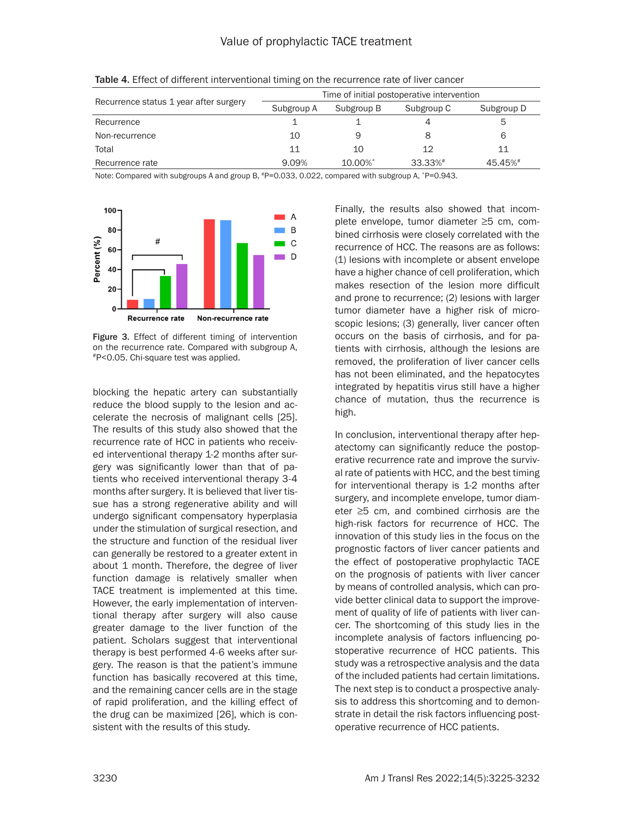|                                        | Time of initial postoperative intervention |            |            |            |  |
|----------------------------------------|--------------------------------------------|------------|------------|------------|--|
| Recurrence status 1 year after surgery | Subgroup A                                 | Subgroup B | Subgroup C | Subgroup D |  |
| Recurrence                             |                                            |            | 4          | 5          |  |
| Non-recurrence                         | 10                                         | 9          | 8          | 6          |  |
| Total                                  | 11                                         | 10         | 12         | 11         |  |
| Recurrence rate                        | 9.09%                                      | 10.00%*    | 33.33%#    | 45.45%#    |  |

Table 4. Effect of different interventional timing on the recurrence rate of liver cancer

Note: Compared with subgroups A and group B,  $^{*}P=0.033$ , 0.022, compared with subgroup A,  $^{*}P=0.943$ .



Figure 3. Effect of different timing of intervention on the recurrence rate. Compared with subgroup A, #P<0.05. Chi-square test was applied.

blocking the hepatic artery can substantially reduce the blood supply to the lesion and accelerate the necrosis of malignant cells [25]. The results of this study also showed that the recurrence rate of HCC in patients who received interventional therapy 1-2 months after surgery was significantly lower than that of patients who received interventional therapy 3-4 months after surgery. It is believed that liver tissue has a strong regenerative ability and will undergo significant compensatory hyperplasia under the stimulation of surgical resection, and the structure and function of the residual liver can generally be restored to a greater extent in about 1 month. Therefore, the degree of liver function damage is relatively smaller when TACE treatment is implemented at this time. However, the early implementation of interventional therapy after surgery will also cause greater damage to the liver function of the patient. Scholars suggest that interventional therapy is best performed 4-6 weeks after surgery. The reason is that the patient's immune function has basically recovered at this time, and the remaining cancer cells are in the stage of rapid proliferation, and the killing effect of the drug can be maximized [26], which is consistent with the results of this study.

Finally, the results also showed that incomplete envelope, tumor diameter ≥5 cm, combined cirrhosis were closely correlated with the recurrence of HCC. The reasons are as follows: (1) lesions with incomplete or absent envelope have a higher chance of cell proliferation, which makes resection of the lesion more difficult and prone to recurrence; (2) lesions with larger tumor diameter have a higher risk of microscopic lesions; (3) generally, liver cancer often occurs on the basis of cirrhosis, and for patients with cirrhosis, although the lesions are removed, the proliferation of liver cancer cells has not been eliminated, and the hepatocytes integrated by hepatitis virus still have a higher chance of mutation, thus the recurrence is high.

In conclusion, interventional therapy after hepatectomy can significantly reduce the postoperative recurrence rate and improve the survival rate of patients with HCC, and the best timing for interventional therapy is 1-2 months after surgery, and incomplete envelope, tumor diameter ≥5 cm, and combined cirrhosis are the high-risk factors for recurrence of HCC. The innovation of this study lies in the focus on the prognostic factors of liver cancer patients and the effect of postoperative prophylactic TACE on the prognosis of patients with liver cancer by means of controlled analysis, which can provide better clinical data to support the improvement of quality of life of patients with liver cancer. The shortcoming of this study lies in the incomplete analysis of factors influencing postoperative recurrence of HCC patients. This study was a retrospective analysis and the data of the included patients had certain limitations. The next step is to conduct a prospective analysis to address this shortcoming and to demonstrate in detail the risk factors influencing postoperative recurrence of HCC patients.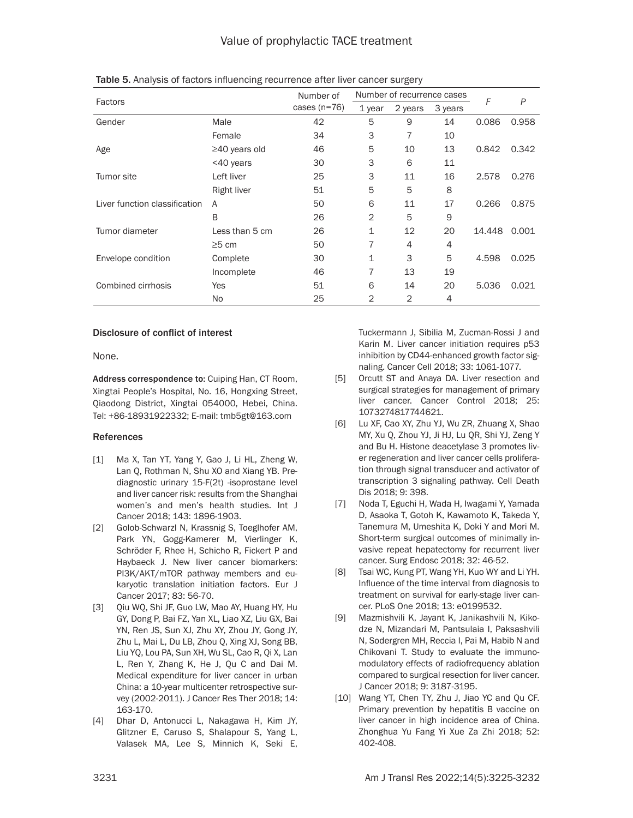|                               |                     | Number of      | Number of recurrence cases |         |         |        |       |
|-------------------------------|---------------------|----------------|----------------------------|---------|---------|--------|-------|
| Factors                       |                     | cases $(n=76)$ | 1 year                     | 2 years | 3 years | F      | P     |
| Gender                        | Male                | 42             | 5                          | 9       | 14      | 0.086  | 0.958 |
|                               | Female              | 34             | 3                          | 7       | 10      |        |       |
| Age                           | $\geq$ 40 years old | 46             | 5                          | 10      | 13      | 0.842  | 0.342 |
|                               | <40 years           | 30             | 3                          | 6       | 11      |        |       |
| Tumor site                    | Left liver          | 25             | 3                          | 11      | 16      | 2.578  | 0.276 |
|                               | Right liver         | 51             | 5                          | 5       | 8       |        |       |
| Liver function classification | A                   | 50             | 6                          | 11      | 17      | 0.266  | 0.875 |
|                               | B                   | 26             | 2                          | 5       | 9       |        |       |
| Tumor diameter                | Less than 5 cm      | 26             | 1                          | 12      | 20      | 14.448 | 0.001 |
|                               | $\geq 5$ cm         | 50             | 7                          | 4       | 4       |        |       |
| Envelope condition            | Complete            | 30             | 1                          | 3       | 5       | 4.598  | 0.025 |
|                               | Incomplete          | 46             | 7                          | 13      | 19      |        |       |
| Combined cirrhosis            | Yes                 | 51             | 6                          | 14      | 20      | 5.036  | 0.021 |
|                               | No                  | 25             | $\overline{2}$             | 2       | 4       |        |       |

Table 5. Analysis of factors influencing recurrence after liver cancer surgery

#### Disclosure of conflict of interest

None.

Address correspondence to: Cuiping Han, CT Room, Xingtai People's Hospital, No. 16, Hongxing Street, Qiaodong District, Xingtai 054000, Hebei, China. Tel: +86-18931922332; E-mail: [tmb5gt@163.com](mailto:tmb5gt@163.com)

## References

- [1] Ma X, Tan YT, Yang Y, Gao J, Li HL, Zheng W, Lan Q, Rothman N, Shu XO and Xiang YB. Prediagnostic urinary 15-F(2t) -isoprostane level and liver cancer risk: results from the Shanghai women's and men's health studies. Int J Cancer 2018; 143: 1896-1903.
- [2] Golob-Schwarzl N, Krassnig S, Toeglhofer AM, Park YN, Gogg-Kamerer M, Vierlinger K, Schröder F, Rhee H, Schicho R, Fickert P and Haybaeck J. New liver cancer biomarkers: PI3K/AKT/mTOR pathway members and eukaryotic translation initiation factors. Eur J Cancer 2017; 83: 56-70.
- [3] Qiu WQ, Shi JF, Guo LW, Mao AY, Huang HY, Hu GY, Dong P, Bai FZ, Yan XL, Liao XZ, Liu GX, Bai YN, Ren JS, Sun XJ, Zhu XY, Zhou JY, Gong JY, Zhu L, Mai L, Du LB, Zhou Q, Xing XJ, Song BB, Liu YQ, Lou PA, Sun XH, Wu SL, Cao R, Qi X, Lan L, Ren Y, Zhang K, He J, Qu C and Dai M. Medical expenditure for liver cancer in urban China: a 10-year multicenter retrospective survey (2002-2011). J Cancer Res Ther 2018; 14: 163-170.
- [4] Dhar D, Antonucci L, Nakagawa H, Kim JY, Glitzner E, Caruso S, Shalapour S, Yang L, Valasek MA, Lee S, Minnich K, Seki E,

Tuckermann J, Sibilia M, Zucman-Rossi J and Karin M. Liver cancer initiation requires p53 inhibition by CD44-enhanced growth factor signaling. Cancer Cell 2018; 33: 1061-1077.

- [5] Orcutt ST and Anaya DA. Liver resection and surgical strategies for management of primary liver cancer. Cancer Control 2018; 25: 1073274817744621.
- [6] Lu XF, Cao XY, Zhu YJ, Wu ZR, Zhuang X, Shao MY, Xu Q, Zhou YJ, Ji HJ, Lu QR, Shi YJ, Zeng Y and Bu H. Histone deacetylase 3 promotes liver regeneration and liver cancer cells proliferation through signal transducer and activator of transcription 3 signaling pathway. Cell Death Dis 2018; 9: 398.
- [7] Noda T, Eguchi H, Wada H, Iwagami Y, Yamada D, Asaoka T, Gotoh K, Kawamoto K, Takeda Y, Tanemura M, Umeshita K, Doki Y and Mori M. Short-term surgical outcomes of minimally invasive repeat hepatectomy for recurrent liver cancer. Surg Endosc 2018; 32: 46-52.
- [8] Tsai WC, Kung PT, Wang YH, Kuo WY and Li YH. Influence of the time interval from diagnosis to treatment on survival for early-stage liver cancer. PLoS One 2018; 13: e0199532.
- [9] Mazmishvili K, Jayant K, Janikashvili N, Kikodze N, Mizandari M, Pantsulaia I, Paksashvili N, Sodergren MH, Reccia I, Pai M, Habib N and Chikovani T. Study to evaluate the immunomodulatory effects of radiofrequency ablation compared to surgical resection for liver cancer. J Cancer 2018; 9: 3187-3195.
- [10] Wang YT, Chen TY, Zhu J, Jiao YC and Qu CF. Primary prevention by hepatitis B vaccine on liver cancer in high incidence area of China. Zhonghua Yu Fang Yi Xue Za Zhi 2018; 52: 402-408.